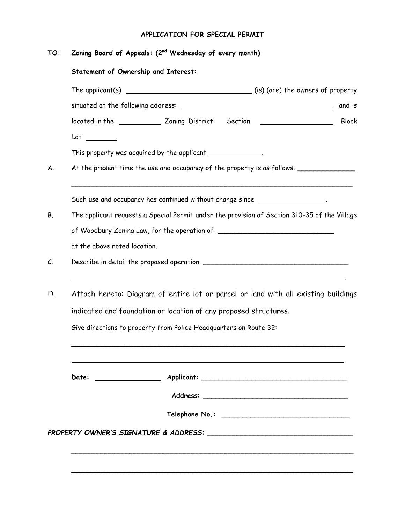## **APPLICATION FOR SPECIAL PERMIT**

| Zoning Board of Appeals: (2 <sup>nd</sup> Wednesday of every month)<br>Statement of Ownership and Interest:                                                                                                                                                                                                         |  |
|---------------------------------------------------------------------------------------------------------------------------------------------------------------------------------------------------------------------------------------------------------------------------------------------------------------------|--|
|                                                                                                                                                                                                                                                                                                                     |  |
|                                                                                                                                                                                                                                                                                                                     |  |
| located in the ______________ Zoning District: Section: ________________________<br><b>Block</b>                                                                                                                                                                                                                    |  |
| $Lot \_\_\_\_\_\_\$                                                                                                                                                                                                                                                                                                 |  |
| This property was acquired by the applicant _______________.                                                                                                                                                                                                                                                        |  |
| At the present time the use and occupancy of the property is as follows: ______________                                                                                                                                                                                                                             |  |
| Such use and occupancy has continued without change since _____________________.                                                                                                                                                                                                                                    |  |
| The applicant requests a Special Permit under the provision of Section 310-35 of the Village                                                                                                                                                                                                                        |  |
|                                                                                                                                                                                                                                                                                                                     |  |
| at the above noted location.                                                                                                                                                                                                                                                                                        |  |
|                                                                                                                                                                                                                                                                                                                     |  |
| the control of the control of the control of the control of the control of the control of the control of the control of the control of the control of the control of the control of the control of the control of the control<br>Attach hereto: Diagram of entire lot or parcel or land with all existing buildings |  |
| indicated and foundation or location of any proposed structures.                                                                                                                                                                                                                                                    |  |
| Give directions to property from Police Headquarters on Route 32:                                                                                                                                                                                                                                                   |  |
|                                                                                                                                                                                                                                                                                                                     |  |
| Date:                                                                                                                                                                                                                                                                                                               |  |
|                                                                                                                                                                                                                                                                                                                     |  |
|                                                                                                                                                                                                                                                                                                                     |  |
|                                                                                                                                                                                                                                                                                                                     |  |

\_\_\_\_\_\_\_\_\_\_\_\_\_\_\_\_\_\_\_\_\_\_\_\_\_\_\_\_\_\_\_\_\_\_\_\_\_\_\_\_\_\_\_\_\_\_\_\_\_\_\_\_\_\_\_\_\_\_\_\_\_\_\_\_\_\_\_\_